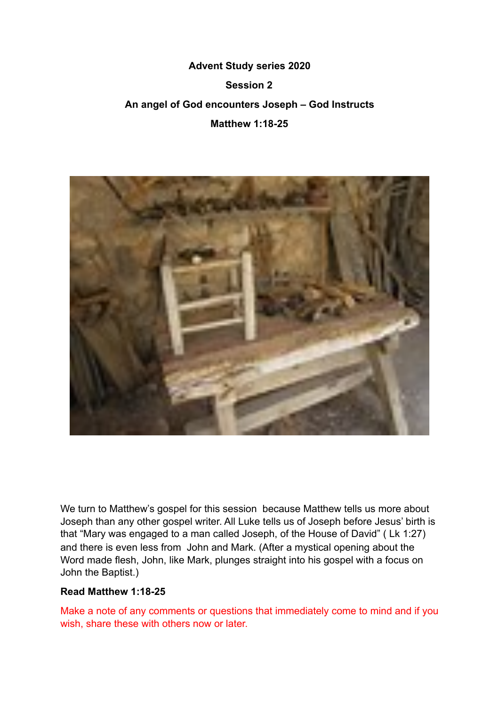# **Advent Study series 2020 Session 2 An angel of God encounters Joseph – God Instructs Matthew 1:18-25**



We turn to Matthew's gospel for this session because Matthew tells us more about Joseph than any other gospel writer. All Luke tells us of Joseph before Jesus' birth is that "Mary was engaged to a man called Joseph, of the House of David" ( Lk 1:27) and there is even less from John and Mark. (After a mystical opening about the Word made flesh, John, like Mark, plunges straight into his gospel with a focus on John the Baptist.)

### **Read Matthew 1:18-25**

Make a note of any comments or questions that immediately come to mind and if you wish, share these with others now or later.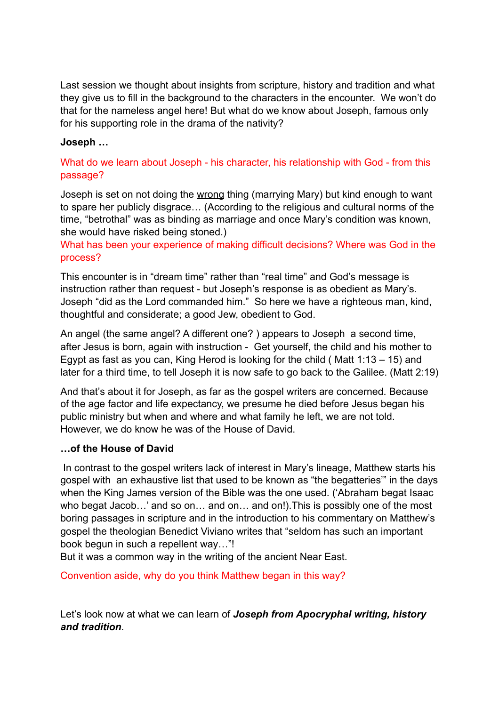Last session we thought about insights from scripture, history and tradition and what they give us to fill in the background to the characters in the encounter. We won't do that for the nameless angel here! But what do we know about Joseph, famous only for his supporting role in the drama of the nativity?

## **Joseph …**

## What do we learn about Joseph - his character, his relationship with God - from this passage?

Joseph is set on not doing the wrong thing (marrying Mary) but kind enough to want to spare her publicly disgrace… (According to the religious and cultural norms of the time, "betrothal" was as binding as marriage and once Mary's condition was known, she would have risked being stoned.)

What has been your experience of making difficult decisions? Where was God in the process?

This encounter is in "dream time" rather than "real time" and God's message is instruction rather than request - but Joseph's response is as obedient as Mary's. Joseph "did as the Lord commanded him." So here we have a righteous man, kind, thoughtful and considerate; a good Jew, obedient to God.

An angel (the same angel? A different one? ) appears to Joseph a second time, after Jesus is born, again with instruction - Get yourself, the child and his mother to Egypt as fast as you can, King Herod is looking for the child ( Matt 1:13 – 15) and later for a third time, to tell Joseph it is now safe to go back to the Galilee. (Matt 2:19)

And that's about it for Joseph, as far as the gospel writers are concerned. Because of the age factor and life expectancy, we presume he died before Jesus began his public ministry but when and where and what family he left, we are not told. However, we do know he was of the House of David.

#### **…of the House of David**

 In contrast to the gospel writers lack of interest in Mary's lineage, Matthew starts his gospel with an exhaustive list that used to be known as "the begatteries'" in the days when the King James version of the Bible was the one used. ('Abraham begat Isaac who begat Jacob...' and so on... and on... and on!). This is possibly one of the most boring passages in scripture and in the introduction to his commentary on Matthew's gospel the theologian Benedict Viviano writes that "seldom has such an important book begun in such a repellent way…"!

But it was a common way in the writing of the ancient Near East.

Convention aside, why do you think Matthew began in this way?

Let's look now at what we can learn of *Joseph from Apocryphal writing, history and tradition*.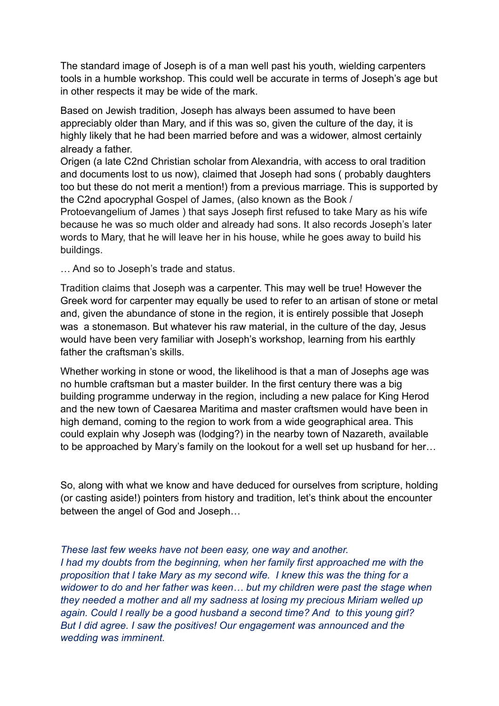The standard image of Joseph is of a man well past his youth, wielding carpenters tools in a humble workshop. This could well be accurate in terms of Joseph's age but in other respects it may be wide of the mark.

Based on Jewish tradition, Joseph has always been assumed to have been appreciably older than Mary, and if this was so, given the culture of the day, it is highly likely that he had been married before and was a widower, almost certainly already a father.

Origen (a late C2nd Christian scholar from Alexandria, with access to oral tradition and documents lost to us now), claimed that Joseph had sons ( probably daughters too but these do not merit a mention!) from a previous marriage. This is supported by the C2nd apocryphal Gospel of James, (also known as the Book /

Protoevangelium of James ) that says Joseph first refused to take Mary as his wife because he was so much older and already had sons. It also records Joseph's later words to Mary, that he will leave her in his house, while he goes away to build his buildings.

… And so to Joseph's trade and status.

Tradition claims that Joseph was a carpenter. This may well be true! However the Greek word for carpenter may equally be used to refer to an artisan of stone or metal and, given the abundance of stone in the region, it is entirely possible that Joseph was a stonemason. But whatever his raw material, in the culture of the day, Jesus would have been very familiar with Joseph's workshop, learning from his earthly father the craftsman's skills.

Whether working in stone or wood, the likelihood is that a man of Josephs age was no humble craftsman but a master builder. In the first century there was a big building programme underway in the region, including a new palace for King Herod and the new town of Caesarea Maritima and master craftsmen would have been in high demand, coming to the region to work from a wide geographical area. This could explain why Joseph was (lodging?) in the nearby town of Nazareth, available to be approached by Mary's family on the lookout for a well set up husband for her…

So, along with what we know and have deduced for ourselves from scripture, holding (or casting aside!) pointers from history and tradition, let's think about the encounter between the angel of God and Joseph…

*These last few weeks have not been easy, one way and another. I had my doubts from the beginning, when her family first approached me with the proposition that I take Mary as my second wife. I knew this was the thing for a widower to do and her father was keen… but my children were past the stage when they needed a mother and all my sadness at losing my precious Miriam welled up again. Could I really be a good husband a second time? And to this young girl? But I did agree. I saw the positives! Our engagement was announced and the wedding was imminent.*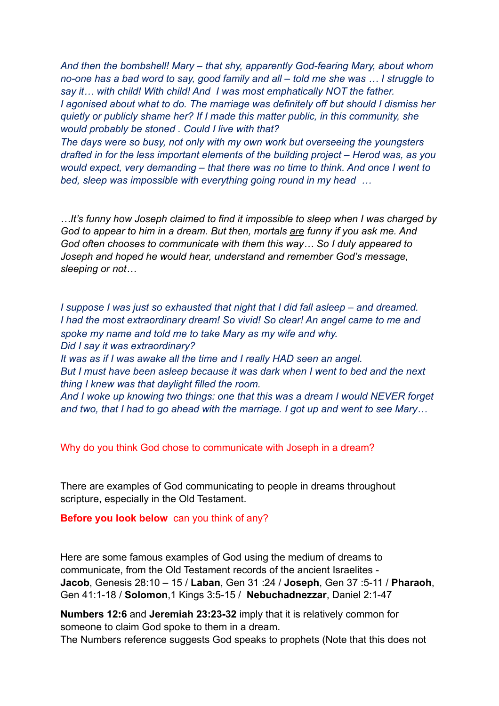*And then the bombshell! Mary – that shy, apparently God-fearing Mary, about whom no-one has a bad word to say, good family and all – told me she was … I struggle to say it… with child! With child! And I was most emphatically NOT the father. I agonised about what to do. The marriage was definitely off but should I dismiss her quietly or publicly shame her? If I made this matter public, in this community, she would probably be stoned . Could I live with that?* 

*The days were so busy, not only with my own work but overseeing the youngsters drafted in for the less important elements of the building project – Herod was, as you would expect, very demanding – that there was no time to think. And once I went to bed, sleep was impossible with everything going round in my head …* 

*…It's funny how Joseph claimed to find it impossible to sleep when I was charged by God to appear to him in a dream. But then, mortals are funny if you ask me. And God often chooses to communicate with them this way… So I duly appeared to Joseph and hoped he would hear, understand and remember God's message, sleeping or not…* 

*I suppose I was just so exhausted that night that I did fall asleep – and dreamed. I had the most extraordinary dream! So vivid! So clear! An angel came to me and spoke my name and told me to take Mary as my wife and why. Did I say it was extraordinary?* 

*It was as if I was awake all the time and I really HAD seen an angel. But I must have been asleep because it was dark when I went to bed and the next thing I knew was that daylight filled the room.* 

*And I woke up knowing two things: one that this was a dream I would NEVER forget and two, that I had to go ahead with the marriage. I got up and went to see Mary…* 

Why do you think God chose to communicate with Joseph in a dream?

There are examples of God communicating to people in dreams throughout scripture, especially in the Old Testament.

#### **Before you look below** can you think of any?

Here are some famous examples of God using the medium of dreams to communicate, from the Old Testament records of the ancient Israelites - **Jacob**, Genesis 28:10 – 15 / **Laban**, Gen 31 :24 / **Joseph**, Gen 37 :5-11 / **Pharaoh**, Gen 41:1-18 / **Solomon**,1 Kings 3:5-15 / **Nebuchadnezzar**, Daniel 2:1-47

**Numbers 12:6** and **Jeremiah 23:23-32** imply that it is relatively common for someone to claim God spoke to them in a dream.

The Numbers reference suggests God speaks to prophets (Note that this does not